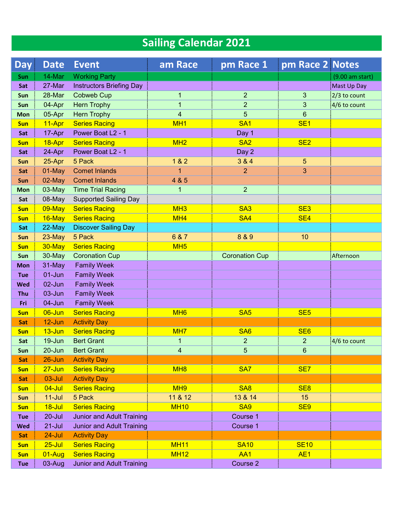| <b>Sailing Calendar 2021</b> |                         |                                  |                         |                       |                       |                 |  |  |  |  |
|------------------------------|-------------------------|----------------------------------|-------------------------|-----------------------|-----------------------|-----------------|--|--|--|--|
| <b>Day</b>                   | <b>Date</b>             | <b>Event</b>                     | am Race                 | pm Race 1             | pm Race 2 Notes       |                 |  |  |  |  |
| <b>Sun</b>                   | 14-Mar                  | <b>Working Party</b>             |                         |                       |                       | (9.00 am start) |  |  |  |  |
| Sat                          | 27-Mar                  | <b>Instructors Briefing Day</b>  |                         |                       |                       | Mast Up Day     |  |  |  |  |
| Sun                          | 28-Mar                  | <b>Cobweb Cup</b>                | 1                       | $\overline{2}$        | 3                     | $2/3$ to count  |  |  |  |  |
| Sun                          | 04-Apr                  | <b>Hern Trophy</b>               | 1                       | $\overline{2}$        | 3                     | $4/6$ to count  |  |  |  |  |
| <b>Mon</b>                   | 05-Apr                  | <b>Hern Trophy</b>               | $\overline{\mathbf{4}}$ | 5                     | 6                     |                 |  |  |  |  |
| <b>Sun</b>                   | 11-Apr                  | <b>Series Racing</b>             | MH <sub>1</sub>         | SA <sub>1</sub>       | SE <sub>1</sub>       |                 |  |  |  |  |
| Sat                          | 17-Apr                  | Power Boat L <sub>2</sub> - 1    |                         | Day 1                 |                       |                 |  |  |  |  |
| <b>Sun</b>                   | 18-Apr                  | <b>Series Racing</b>             | MH <sub>2</sub>         | SA <sub>2</sub>       | SE <sub>2</sub>       |                 |  |  |  |  |
| Sat                          | 24-Apr                  | Power Boat L <sub>2</sub> - 1    |                         | Day 2                 |                       |                 |  |  |  |  |
| <b>Sun</b>                   | 25-Apr                  | 5 Pack                           | 182                     | 3 & 4                 | 5                     |                 |  |  |  |  |
| Sat                          | 01-May                  | <b>Comet Inlands</b>             | 1                       | $\overline{2}$        | 3                     |                 |  |  |  |  |
| Sun                          | 02-May                  | <b>Comet Inlands</b>             | 4 & 5                   |                       |                       |                 |  |  |  |  |
| <b>Mon</b>                   | 03-May                  | <b>Time Trial Racing</b>         | 1                       | $\overline{2}$        |                       |                 |  |  |  |  |
| Sat                          | 08-May                  | <b>Supported Sailing Day</b>     |                         |                       |                       |                 |  |  |  |  |
| <b>Sun</b>                   | 09-May                  | <b>Series Racing</b>             | MH <sub>3</sub>         | SA <sub>3</sub>       | SE <sub>3</sub>       |                 |  |  |  |  |
| <b>Sun</b>                   | 16-May                  | <b>Series Racing</b>             | MH <sub>4</sub>         | <b>SA4</b>            | SE <sub>4</sub>       |                 |  |  |  |  |
| Sat                          | 22-May                  | <b>Discover Sailing Day</b>      |                         |                       |                       |                 |  |  |  |  |
| Sun                          | 23-May                  | 5 Pack                           | 6 & 7                   | 8 & 9                 | 10                    |                 |  |  |  |  |
| <b>Sun</b>                   | 30-May                  | <b>Series Racing</b>             | MH <sub>5</sub>         |                       |                       |                 |  |  |  |  |
| Sun                          | 30-May                  | <b>Coronation Cup</b>            |                         | <b>Coronation Cup</b> |                       | Afternoon       |  |  |  |  |
| <b>Mon</b>                   | 31-May                  | <b>Family Week</b>               |                         |                       |                       |                 |  |  |  |  |
| <b>Tue</b>                   | $01 - Jun$              | <b>Family Week</b>               |                         |                       |                       |                 |  |  |  |  |
| <b>Wed</b>                   | 02-Jun                  | <b>Family Week</b>               |                         |                       |                       |                 |  |  |  |  |
| Thu                          | 03-Jun                  | <b>Family Week</b>               |                         |                       |                       |                 |  |  |  |  |
| Fri                          | 04-Jun                  | <b>Family Week</b>               |                         |                       |                       |                 |  |  |  |  |
| <b>Sun</b>                   | 06-Jun                  | <b>Series Racing</b>             | M <sub>H6</sub>         | SA <sub>5</sub>       | SE <sub>5</sub>       |                 |  |  |  |  |
| Sat                          | $12$ -Jun               | <b>Activity Day</b>              |                         |                       |                       |                 |  |  |  |  |
| <b>Sun</b>                   | $13 - Jun$              | <b>Series Racing</b>             | MH <sub>7</sub>         | SA <sub>6</sub>       | SE <sub>6</sub>       |                 |  |  |  |  |
| Sat                          | 19-Jun                  | <b>Bert Grant</b>                | 1                       | $\overline{2}$        | $\overline{2}$        | 4/6 to count    |  |  |  |  |
| Sun                          | $20 - Jun$              | <b>Bert Grant</b>                | $\overline{4}$          | 5                     | $6\phantom{1}$        |                 |  |  |  |  |
| Sat                          | $26$ -Jun               | <b>Activity Day</b>              |                         |                       |                       |                 |  |  |  |  |
| <b>Sun</b>                   | $27 - Jun$              | <b>Series Racing</b>             | MH <sub>8</sub>         | SA <sub>7</sub>       | SE <sub>7</sub>       |                 |  |  |  |  |
| Sat                          | $03$ -Jul               | <b>Activity Day</b>              | MH <sub>9</sub>         | <b>SA8</b>            |                       |                 |  |  |  |  |
| <b>Sun</b>                   | $04 -$ Jul<br>$11$ -Jul | <b>Series Racing</b><br>5 Pack   | 11 & 12                 | 13 & 14               | SE <sub>8</sub><br>15 |                 |  |  |  |  |
| Sun<br><b>Sun</b>            | 18-Jul                  | <b>Series Racing</b>             | <b>MH10</b>             | <b>SA9</b>            | SE <sub>9</sub>       |                 |  |  |  |  |
| Tue                          | $20 -$ Jul              | <b>Junior and Adult Training</b> |                         | Course 1              |                       |                 |  |  |  |  |
| <b>Wed</b>                   | $21 -$ Jul              | <b>Junior and Adult Training</b> |                         | Course 1              |                       |                 |  |  |  |  |
| Sat                          | 24-Jul                  | <b>Activity Day</b>              |                         |                       |                       |                 |  |  |  |  |
| <b>Sun</b>                   | $25 -$ Jul              | <b>Series Racing</b>             | <b>MH11</b>             | <b>SA10</b>           | <b>SE10</b>           |                 |  |  |  |  |
| <b>Sun</b>                   | $01 - Aug$              | <b>Series Racing</b>             | <b>MH12</b>             | AA1                   | AE <sub>1</sub>       |                 |  |  |  |  |
| <b>Tue</b>                   | 03-Aug                  | <b>Junior and Adult Training</b> |                         | Course 2              |                       |                 |  |  |  |  |